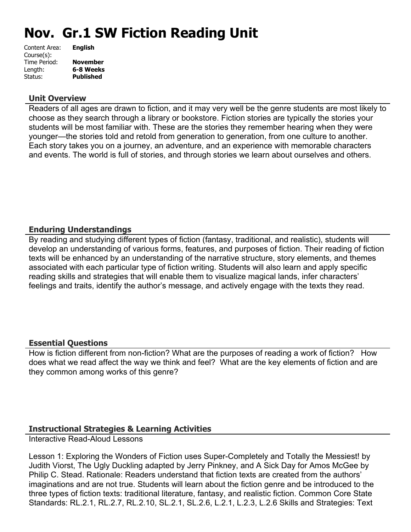# **Nov. Gr.1 SW Fiction Reading Unit**

| Content Area: | <b>English</b>   |
|---------------|------------------|
| Course(s):    |                  |
| Time Period:  | <b>November</b>  |
| Length:       | 6-8 Weeks        |
| Status:       | <b>Published</b> |
|               |                  |

#### **Unit Overview**

Readers of all ages are drawn to fiction, and it may very well be the genre students are most likely to choose as they search through a library or bookstore. Fiction stories are typically the stories your students will be most familiar with. These are the stories they remember hearing when they were younger—the stories told and retold from generation to generation, from one culture to another. Each story takes you on a journey, an adventure, and an experience with memorable characters and events. The world is full of stories, and through stories we learn about ourselves and others.

#### **Enduring Understandings**

By reading and studying different types of fiction (fantasy, traditional, and realistic), students will develop an understanding of various forms, features, and purposes of fiction. Their reading of fiction texts will be enhanced by an understanding of the narrative structure, story elements, and themes associated with each particular type of fiction writing. Students will also learn and apply specific reading skills and strategies that will enable them to visualize magical lands, infer characters' feelings and traits, identify the author's message, and actively engage with the texts they read.

#### **Essential Questions**

How is fiction different from non-fiction? What are the purposes of reading a work of fiction? How does what we read affect the way we think and feel? What are the key elements of fiction and are they common among works of this genre?

## **Instructional Strategies & Learning Activities**

Interactive Read-Aloud Lessons

Lesson 1: Exploring the Wonders of Fiction uses Super-Completely and Totally the Messiest! by Judith Viorst, The Ugly Duckling adapted by Jerry Pinkney, and A Sick Day for Amos McGee by Philip C. Stead. Rationale: Readers understand that fiction texts are created from the authors' imaginations and are not true. Students will learn about the fiction genre and be introduced to the three types of fiction texts: traditional literature, fantasy, and realistic fiction. Common Core State Standards: RL.2.1, RL.2.7, RL.2.10, SL.2.1, SL.2.6, L.2.1, L.2.3, L.2.6 Skills and Strategies: Text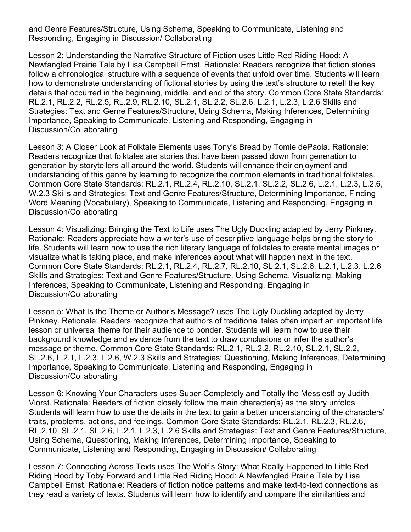and Genre Features/Structure, Using Schema, Speaking to Communicate, Listening and Responding, Engaging in Discussion/ Collaborating

Lesson 2: Understanding the Narrative Structure of Fiction uses Little Red Riding Hood: A Newfangled Prairie Tale by Lisa Campbell Ernst. Rationale: Readers recognize that fiction stories follow a chronological structure with a sequence of events that unfold over time. Students will learn how to demonstrate understanding of fictional stories by using the text's structure to retell the key details that occurred in the beginning, middle, and end of the story. Common Core State Standards: RL.2.1, RL.2.2, RL.2.5, RL.2.9, RL.2.10, SL.2.1, SL.2.2, SL.2.6, L.2.1, L.2.3, L.2.6 Skills and Strategies: Text and Genre Features/Structure, Using Schema, Making Inferences, Determining Importance, Speaking to Communicate, Listening and Responding, Engaging in Discussion/Collaborating

Lesson 3: A Closer Look at Folktale Elements uses Tony's Bread by Tomie dePaola. Rationale: Readers recognize that folktales are stories that have been passed down from generation to generation by storytellers all around the world. Students will enhance their enjoyment and understanding of this genre by learning to recognize the common elements in traditional folktales. Common Core State Standards: RL.2.1, RL.2.4, RL.2.10, SL.2.1, SL.2.2, SL.2.6, L.2.1, L.2.3, L.2.6, W.2.3 Skills and Strategies: Text and Genre Features/Structure, Determining Importance, Finding Word Meaning (Vocabulary), Speaking to Communicate, Listening and Responding, Engaging in Discussion/Collaborating

Lesson 4: Visualizing: Bringing the Text to Life uses The Ugly Duckling adapted by Jerry Pinkney. Rationale: Readers appreciate how a writer's use of descriptive language helps bring the story to life. Students will learn how to use the rich literary language of folktales to create mental images or visualize what is taking place, and make inferences about what will happen next in the text. Common Core State Standards: RL.2.1, RL.2.4, RL.2.7, RL.2.10, SL.2.1, SL.2.6, L.2.1, L.2.3, L.2.6 Skills and Strategies: Text and Genre Features/Structure, Using Schema, Visualizing, Making Inferences, Speaking to Communicate, Listening and Responding, Engaging in Discussion/Collaborating

Lesson 5: What Is the Theme or Author's Message? uses The Ugly Duckling adapted by Jerry Pinkney. Rationale: Readers recognize that authors of traditional tales often impart an important life lesson or universal theme for their audience to ponder. Students will learn how to use their background knowledge and evidence from the text to draw conclusions or infer the author's message or theme. Common Core State Standards: RL.2.1, RL.2.2, RL.2.10, SL.2.1, SL.2.2, SL.2.6, L.2.1, L.2.3, L.2.6, W.2.3 Skills and Strategies: Questioning, Making Inferences, Determining Importance, Speaking to Communicate, Listening and Responding, Engaging in Discussion/Collaborating

Lesson 6: Knowing Your Characters uses Super-Completely and Totally the Messiest! by Judith Viorst. Rationale: Readers of fiction closely follow the main character(s) as the story unfolds. Students will learn how to use the details in the text to gain a better understanding of the characters' traits, problems, actions, and feelings. Common Core State Standards: RL.2.1, RL.2.3, RL.2.6, RL.2.10, SL.2.1, SL.2.6, L.2.1, L.2.3, L.2.6 Skills and Strategies: Text and Genre Features/Structure, Using Schema, Questioning, Making Inferences, Determining Importance, Speaking to Communicate, Listening and Responding, Engaging in Discussion/ Collaborating

Lesson 7: Connecting Across Texts uses The Wolf's Story: What Really Happened to Little Red Riding Hood by Toby Forward and Little Red Riding Hood: A Newfangled Prairie Tale by Lisa Campbell Ernst. Rationale: Readers of fiction notice patterns and make text-to-text connections as they read a variety of texts. Students will learn how to identify and compare the similarities and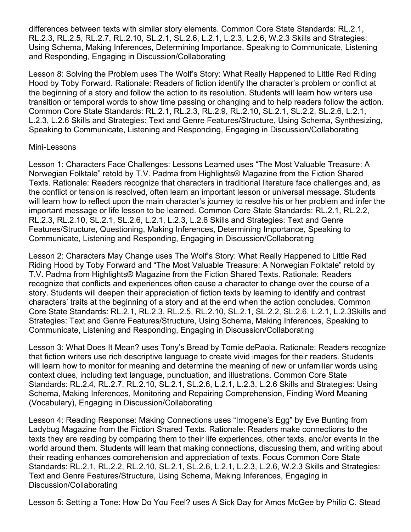differences between texts with similar story elements. Common Core State Standards: RL.2.1, RL.2.3, RL.2.5, RL.2.7, RL.2.10, SL.2.1, SL.2.6, L.2.1, L.2.3, L.2.6, W.2.3 Skills and Strategies: Using Schema, Making Inferences, Determining Importance, Speaking to Communicate, Listening and Responding, Engaging in Discussion/Collaborating

Lesson 8: Solving the Problem uses The Wolf's Story: What Really Happened to Little Red Riding Hood by Toby Forward. Rationale: Readers of fiction identify the character's problem or conflict at the beginning of a story and follow the action to its resolution. Students will learn how writers use transition or temporal words to show time passing or changing and to help readers follow the action. Common Core State Standards: RL.2.1, RL.2.3, RL.2.9, RL.2.10, SL.2.1, SL.2.2, SL.2.6, L.2.1, L.2.3, L.2.6 Skills and Strategies: Text and Genre Features/Structure, Using Schema, Synthesizing, Speaking to Communicate, Listening and Responding, Engaging in Discussion/Collaborating

#### Mini-Lessons

Lesson 1: Characters Face Challenges: Lessons Learned uses "The Most Valuable Treasure: A Norwegian Folktale" retold by T.V. Padma from Highlights® Magazine from the Fiction Shared Texts. Rationale: Readers recognize that characters in traditional literature face challenges and, as the conflict or tension is resolved, often learn an important lesson or universal message. Students will learn how to reflect upon the main character's journey to resolve his or her problem and infer the important message or life lesson to be learned. Common Core State Standards: RL.2.1, RL.2.2, RL.2.3, RL.2.10, SL.2.1, SL.2.6, L.2.1, L.2.3, L.2.6 Skills and Strategies: Text and Genre Features/Structure, Questioning, Making Inferences, Determining Importance, Speaking to Communicate, Listening and Responding, Engaging in Discussion/Collaborating

Lesson 2: Characters May Change uses The Wolf's Story: What Really Happened to Little Red Riding Hood by Toby Forward and "The Most Valuable Treasure: A Norwegian Folktale" retold by T.V. Padma from Highlights® Magazine from the Fiction Shared Texts. Rationale: Readers recognize that conflicts and experiences often cause a character to change over the course of a story. Students will deepen their appreciation of fiction texts by learning to identify and contrast characters' traits at the beginning of a story and at the end when the action concludes. Common Core State Standards: RL.2.1, RL.2.3, RL.2.5, RL.2.10, SL.2.1, SL.2.2, SL.2.6, L.2.1, L.2.3Skills and Strategies: Text and Genre Features/Structure, Using Schema, Making Inferences, Speaking to Communicate, Listening and Responding, Engaging in Discussion/Collaborating

Lesson 3: What Does It Mean? uses Tony's Bread by Tomie dePaola. Rationale: Readers recognize that fiction writers use rich descriptive language to create vivid images for their readers. Students will learn how to monitor for meaning and determine the meaning of new or unfamiliar words using context clues, including text language, punctuation, and illustrations. Common Core State Standards: RL.2.4, RL.2.7, RL.2.10, SL.2.1, SL.2.6, L.2.1, L.2.3, L.2.6 Skills and Strategies: Using Schema, Making Inferences, Monitoring and Repairing Comprehension, Finding Word Meaning (Vocabulary), Engaging in Discussion/Collaborating

Lesson 4: Reading Response: Making Connections uses "Imogene's Egg" by Eve Bunting from Ladybug Magazine from the Fiction Shared Texts. Rationale: Readers make connections to the texts they are reading by comparing them to their life experiences, other texts, and/or events in the world around them. Students will learn that making connections, discussing them, and writing about their reading enhances comprehension and appreciation of texts. Focus Common Core State Standards: RL.2.1, RL.2.2, RL.2.10, SL.2.1, SL.2.6, L.2.1, L.2.3, L.2.6, W.2.3 Skills and Strategies: Text and Genre Features/Structure, Using Schema, Making Inferences, Engaging in Discussion/Collaborating

Lesson 5: Setting a Tone: How Do You Feel? uses A Sick Day for Amos McGee by Philip C. Stead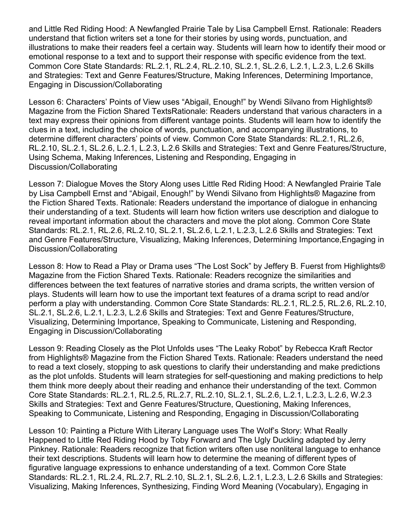and Little Red Riding Hood: A Newfangled Prairie Tale by Lisa Campbell Ernst. Rationale: Readers understand that fiction writers set a tone for their stories by using words, punctuation, and illustrations to make their readers feel a certain way. Students will learn how to identify their mood or emotional response to a text and to support their response with specific evidence from the text. Common Core State Standards: RL.2.1, RL.2.4, RL.2.10, SL.2.1, SL.2.6, L.2.1, L.2.3, L.2.6 Skills and Strategies: Text and Genre Features/Structure, Making Inferences, Determining Importance, Engaging in Discussion/Collaborating

Lesson 6: Characters' Points of View uses "Abigail, Enough!" by Wendi Silvano from Highlights® Magazine from the Fiction Shared TextsRationale: Readers understand that various characters in a text may express their opinions from different vantage points. Students will learn how to identify the clues in a text, including the choice of words, punctuation, and accompanying illustrations, to determine different characters' points of view. Common Core State Standards: RL.2.1, RL.2.6, RL.2.10, SL.2.1, SL.2.6, L.2.1, L.2.3, L.2.6 Skills and Strategies: Text and Genre Features/Structure, Using Schema, Making Inferences, Listening and Responding, Engaging in Discussion/Collaborating

Lesson 7: Dialogue Moves the Story Along uses Little Red Riding Hood: A Newfangled Prairie Tale by Lisa Campbell Ernst and "Abigail, Enough!" by Wendi Silvano from Highlights® Magazine from the Fiction Shared Texts. Rationale: Readers understand the importance of dialogue in enhancing their understanding of a text. Students will learn how fiction writers use description and dialogue to reveal important information about the characters and move the plot along. Common Core State Standards: RL.2.1, RL.2.6, RL.2.10, SL.2.1, SL.2.6, L.2.1, L.2.3, L.2.6 Skills and Strategies: Text and Genre Features/Structure, Visualizing, Making Inferences, Determining Importance,Engaging in Discussion/Collaborating

Lesson 8: How to Read a Play or Drama uses "The Lost Sock" by Jeffery B. Fuerst from Highlights® Magazine from the Fiction Shared Texts. Rationale: Readers recognize the similarities and differences between the text features of narrative stories and drama scripts, the written version of plays. Students will learn how to use the important text features of a drama script to read and/or perform a play with understanding. Common Core State Standards: RL.2.1, RL.2.5, RL.2.6, RL.2.10, SL.2.1, SL.2.6, L.2.1, L.2.3, L.2.6 Skills and Strategies: Text and Genre Features/Structure, Visualizing, Determining Importance, Speaking to Communicate, Listening and Responding, Engaging in Discussion/Collaborating

Lesson 9: Reading Closely as the Plot Unfolds uses "The Leaky Robot" by Rebecca Kraft Rector from Highlights® Magazine from the Fiction Shared Texts. Rationale: Readers understand the need to read a text closely, stopping to ask questions to clarify their understanding and make predictions as the plot unfolds. Students will learn strategies for self-questioning and making predictions to help them think more deeply about their reading and enhance their understanding of the text. Common Core State Standards: RL.2.1, RL.2.5, RL.2.7, RL.2.10, SL.2.1, SL.2.6, L.2.1, L.2.3, L.2.6, W.2.3 Skills and Strategies: Text and Genre Features/Structure, Questioning, Making Inferences, Speaking to Communicate, Listening and Responding, Engaging in Discussion/Collaborating

Lesson 10: Painting a Picture With Literary Language uses The Wolf's Story: What Really Happened to Little Red Riding Hood by Toby Forward and The Ugly Duckling adapted by Jerry Pinkney. Rationale: Readers recognize that fiction writers often use nonliteral language to enhance their text descriptions. Students will learn how to determine the meaning of different types of figurative language expressions to enhance understanding of a text. Common Core State Standards: RL.2.1, RL.2.4, RL.2.7, RL.2.10, SL.2.1, SL.2.6, L.2.1, L.2.3, L.2.6 Skills and Strategies: Visualizing, Making Inferences, Synthesizing, Finding Word Meaning (Vocabulary), Engaging in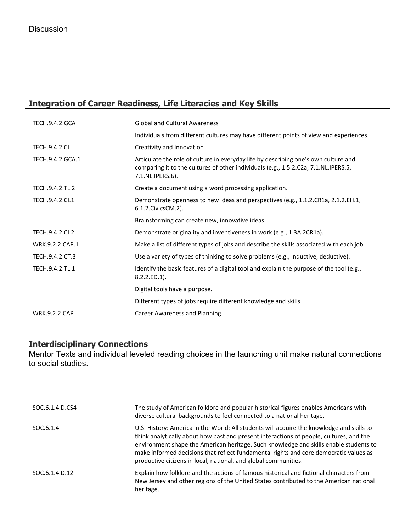# **Integration of Career Readiness, Life Literacies and Key Skills**

| <b>TECH.9.4.2.GCA</b> | <b>Global and Cultural Awareness</b>                                                                                                                                                           |
|-----------------------|------------------------------------------------------------------------------------------------------------------------------------------------------------------------------------------------|
|                       | Individuals from different cultures may have different points of view and experiences.                                                                                                         |
| <b>TECH.9.4.2.CI</b>  | Creativity and Innovation                                                                                                                                                                      |
| TECH.9.4.2.GCA.1      | Articulate the role of culture in everyday life by describing one's own culture and<br>comparing it to the cultures of other individuals (e.g., 1.5.2.C2a, 7.1.NL.IPERS.5,<br>7.1.NL.IPERS.6). |
| TECH.9.4.2.TL.2       | Create a document using a word processing application.                                                                                                                                         |
| TECH.9.4.2.Cl.1       | Demonstrate openness to new ideas and perspectives (e.g., 1.1.2.CR1a, 2.1.2.EH.1,<br>6.1.2. Civics CM. 2).                                                                                     |
|                       | Brainstorming can create new, innovative ideas.                                                                                                                                                |
| TECH.9.4.2.CI.2       | Demonstrate originality and inventiveness in work (e.g., 1.3A.2CR1a).                                                                                                                          |
| WRK.9.2.2.CAP.1       | Make a list of different types of jobs and describe the skills associated with each job.                                                                                                       |
| TECH.9.4.2.CT.3       | Use a variety of types of thinking to solve problems (e.g., inductive, deductive).                                                                                                             |
| TECH.9.4.2.TL.1       | Identify the basic features of a digital tool and explain the purpose of the tool (e.g.,<br>$8.2.2.ED.1$ ).                                                                                    |
|                       | Digital tools have a purpose.                                                                                                                                                                  |
|                       | Different types of jobs require different knowledge and skills.                                                                                                                                |
| <b>WRK.9.2.2.CAP</b>  | Career Awareness and Planning                                                                                                                                                                  |

# **Interdisciplinary Connections**

Mentor Texts and individual leveled reading choices in the launching unit make natural connections to social studies.

| SOC.6.1.4.D.CS4 | The study of American folklore and popular historical figures enables Americans with<br>diverse cultural backgrounds to feel connected to a national heritage.                                                                                                                                                                                                                                                                            |
|-----------------|-------------------------------------------------------------------------------------------------------------------------------------------------------------------------------------------------------------------------------------------------------------------------------------------------------------------------------------------------------------------------------------------------------------------------------------------|
| SOC.6.1.4       | U.S. History: America in the World: All students will acquire the knowledge and skills to<br>think analytically about how past and present interactions of people, cultures, and the<br>environment shape the American heritage. Such knowledge and skills enable students to<br>make informed decisions that reflect fundamental rights and core democratic values as<br>productive citizens in local, national, and global communities. |
| SOC.6.1.4.D.12  | Explain how folklore and the actions of famous historical and fictional characters from<br>New Jersey and other regions of the United States contributed to the American national<br>heritage.                                                                                                                                                                                                                                            |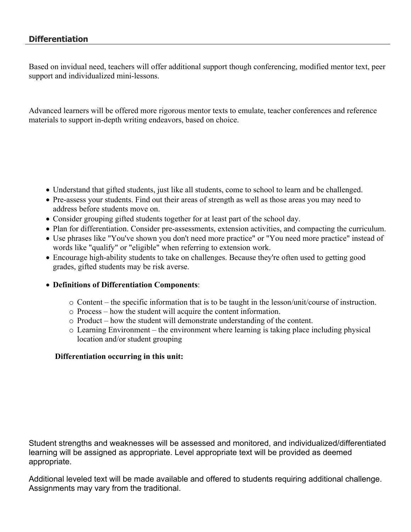Based on invidual need, teachers will offer additional support though conferencing, modified mentor text, peer support and individualized mini-lessons.

Advanced learners will be offered more rigorous mentor texts to emulate, teacher conferences and reference materials to support in-depth writing endeavors, based on choice.

- Understand that gifted students, just like all students, come to school to learn and be challenged.
- Pre-assess your students. Find out their areas of strength as well as those areas you may need to address before students move on.
- Consider grouping gifted students together for at least part of the school day.
- Plan for differentiation. Consider pre-assessments, extension activities, and compacting the curriculum.
- Use phrases like "You've shown you don't need more practice" or "You need more practice" instead of words like "qualify" or "eligible" when referring to extension work.
- Encourage high-ability students to take on challenges. Because they're often used to getting good grades, gifted students may be risk averse.
- **Definitions of Differentiation Components**:
	- o Content the specific information that is to be taught in the lesson/unit/course of instruction.
	- o Process how the student will acquire the content information.
	- o Product how the student will demonstrate understanding of the content.
	- o Learning Environment the environment where learning is taking place including physical location and/or student grouping

#### **Differentiation occurring in this unit:**

Student strengths and weaknesses will be assessed and monitored, and individualized/differentiated learning will be assigned as appropriate. Level appropriate text will be provided as deemed appropriate.

Additional leveled text will be made available and offered to students requiring additional challenge. Assignments may vary from the traditional.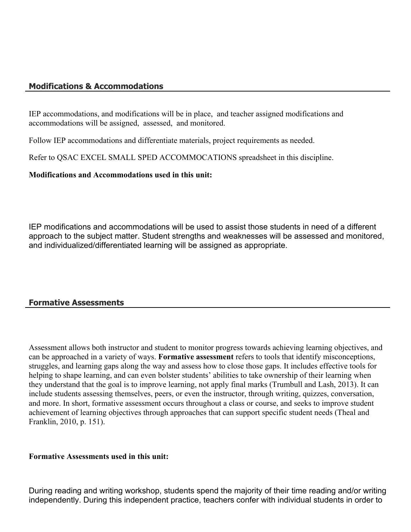### **Modifications & Accommodations**

IEP accommodations, and modifications will be in place, and teacher assigned modifications and accommodations will be assigned, assessed, and monitored.

Follow IEP accommodations and differentiate materials, project requirements as needed.

Refer to QSAC EXCEL SMALL SPED ACCOMMOCATIONS spreadsheet in this discipline.

#### **Modifications and Accommodations used in this unit:**

IEP modifications and accommodations will be used to assist those students in need of a different approach to the subject matter. Student strengths and weaknesses will be assessed and monitored, and individualized/differentiated learning will be assigned as appropriate.

#### **Formative Assessments**

Assessment allows both instructor and student to monitor progress towards achieving learning objectives, and can be approached in a variety of ways. **Formative assessment** refers to tools that identify misconceptions, struggles, and learning gaps along the way and assess how to close those gaps. It includes effective tools for helping to shape learning, and can even bolster students' abilities to take ownership of their learning when they understand that the goal is to improve learning, not apply final marks (Trumbull and Lash, 2013). It can include students assessing themselves, peers, or even the instructor, through writing, quizzes, conversation, and more. In short, formative assessment occurs throughout a class or course, and seeks to improve student achievement of learning objectives through approaches that can support specific student needs (Theal and Franklin, 2010, p. 151).

#### **Formative Assessments used in this unit:**

During reading and writing workshop, students spend the majority of their time reading and/or writing independently. During this independent practice, teachers confer with individual students in order to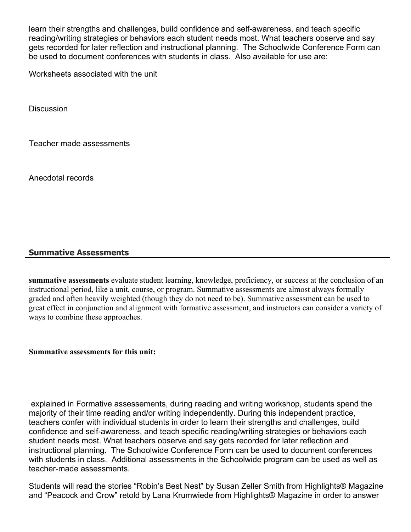learn their strengths and challenges, build confidence and self-awareness, and teach specific reading/writing strategies or behaviors each student needs most. What teachers observe and say gets recorded for later reflection and instructional planning. The Schoolwide Conference Form can be used to document conferences with students in class. Also available for use are:

Worksheets associated with the unit

**Discussion** 

Teacher made assessments

Anecdotal records

#### **Summative Assessments**

**summative assessments** evaluate student learning, knowledge, proficiency, or success at the conclusion of an instructional period, like a unit, course, or program. Summative assessments are almost always formally graded and often heavily weighted (though they do not need to be). Summative assessment can be used to great effect in conjunction and alignment with formative assessment, and instructors can consider a variety of ways to combine these approaches.

#### **Summative assessments for this unit:**

 explained in Formative assessements, during reading and writing workshop, students spend the majority of their time reading and/or writing independently. During this independent practice, teachers confer with individual students in order to learn their strengths and challenges, build confidence and self-awareness, and teach specific reading/writing strategies or behaviors each student needs most. What teachers observe and say gets recorded for later reflection and instructional planning. The Schoolwide Conference Form can be used to document conferences with students in class. Additional assessments in the Schoolwide program can be used as well as teacher-made assessments.

Students will read the stories "Robin's Best Nest" by Susan Zeller Smith from Highlights® Magazine and "Peacock and Crow" retold by Lana Krumwiede from Highlights® Magazine in order to answer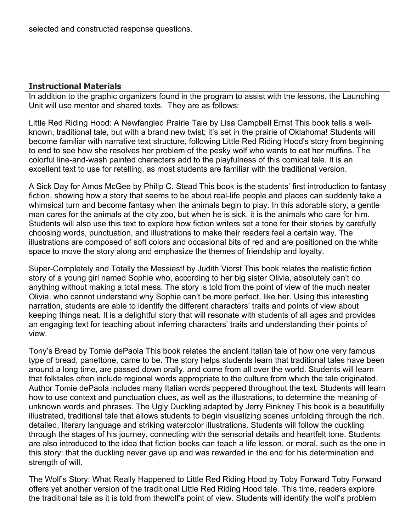# **Instructional Materials**

In addition to the graphic organizers found in the program to assist with the lessons, the Launching Unit will use mentor and shared texts. They are as follows:

Little Red Riding Hood: A Newfangled Prairie Tale by Lisa Campbell Ernst This book tells a wellknown, traditional tale, but with a brand new twist; it's set in the prairie of Oklahoma! Students will become familiar with narrative text structure, following Little Red Riding Hood's story from beginning to end to see how she resolves her problem of the pesky wolf who wants to eat her muffins. The colorful line-and-wash painted characters add to the playfulness of this comical tale. It is an excellent text to use for retelling, as most students are familiar with the traditional version.

A Sick Day for Amos McGee by Philip C. Stead This book is the students' first introduction to fantasy fiction, showing how a story that seems to be about real-life people and places can suddenly take a whimsical turn and become fantasy when the animals begin to play. In this adorable story, a gentle man cares for the animals at the city zoo, but when he is sick, it is the animals who care for him. Students will also use this text to explore how fiction writers set a tone for their stories by carefully choosing words, punctuation, and illustrations to make their readers feel a certain way. The illustrations are composed of soft colors and occasional bits of red and are positioned on the white space to move the story along and emphasize the themes of friendship and loyalty.

Super-Completely and Totally the Messiest! by Judith Viorst This book relates the realistic fiction story of a young girl named Sophie who, according to her big sister Olivia, absolutely can't do anything without making a total mess. The story is told from the point of view of the much neater Olivia, who cannot understand why Sophie can't be more perfect, like her. Using this interesting narration, students are able to identify the different characters' traits and points of view about keeping things neat. It is a delightful story that will resonate with students of all ages and provides an engaging text for teaching about inferring characters' traits and understanding their points of view.

Tony's Bread by Tomie dePaola This book relates the ancient Italian tale of how one very famous type of bread, panettone, came to be. The story helps students learn that traditional tales have been around a long time, are passed down orally, and come from all over the world. Students will learn that folktales often include regional words appropriate to the culture from which the tale originated. Author Tomie dePaola includes many Italian words peppered throughout the text. Students will learn how to use context and punctuation clues, as well as the illustrations, to determine the meaning of unknown words and phrases. The Ugly Duckling adapted by Jerry Pinkney This book is a beautifully illustrated, traditional tale that allows students to begin visualizing scenes unfolding through the rich, detailed, literary language and striking watercolor illustrations. Students will follow the duckling through the stages of his journey, connecting with the sensorial details and heartfelt tone. Students are also introduced to the idea that fiction books can teach a life lesson, or moral, such as the one in this story: that the duckling never gave up and was rewarded in the end for his determination and strength of will.

The Wolf's Story: What Really Happened to Little Red Riding Hood by Toby Forward Toby Forward offers yet another version of the traditional Little Red Riding Hood tale. This time, readers explore the traditional tale as it is told from thewolf's point of view. Students will identify the wolf's problem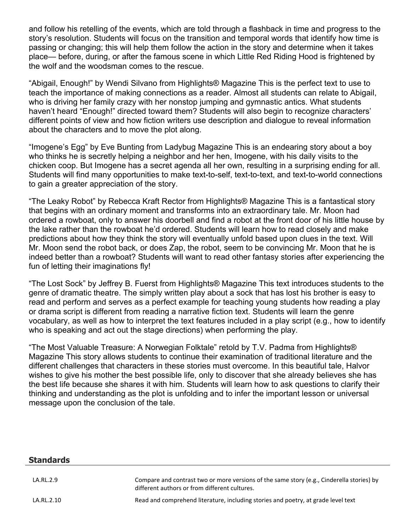and follow his retelling of the events, which are told through a flashback in time and progress to the story's resolution. Students will focus on the transition and temporal words that identify how time is passing or changing; this will help them follow the action in the story and determine when it takes place— before, during, or after the famous scene in which Little Red Riding Hood is frightened by the wolf and the woodsman comes to the rescue.

"Abigail, Enough!" by Wendi Silvano from Highlights® Magazine This is the perfect text to use to teach the importance of making connections as a reader. Almost all students can relate to Abigail, who is driving her family crazy with her nonstop jumping and gymnastic antics. What students haven't heard "Enough!" directed toward them? Students will also begin to recognize characters' different points of view and how fiction writers use description and dialogue to reveal information about the characters and to move the plot along.

"Imogene's Egg" by Eve Bunting from Ladybug Magazine This is an endearing story about a boy who thinks he is secretly helping a neighbor and her hen, Imogene, with his daily visits to the chicken coop. But Imogene has a secret agenda all her own, resulting in a surprising ending for all. Students will find many opportunities to make text-to-self, text-to-text, and text-to-world connections to gain a greater appreciation of the story.

"The Leaky Robot" by Rebecca Kraft Rector from Highlights® Magazine This is a fantastical story that begins with an ordinary moment and transforms into an extraordinary tale. Mr. Moon had ordered a rowboat, only to answer his doorbell and find a robot at the front door of his little house by the lake rather than the rowboat he'd ordered. Students will learn how to read closely and make predictions about how they think the story will eventually unfold based upon clues in the text. Will Mr. Moon send the robot back, or does Zap, the robot, seem to be convincing Mr. Moon that he is indeed better than a rowboat? Students will want to read other fantasy stories after experiencing the fun of letting their imaginations fly!

"The Lost Sock" by Jeffrey B. Fuerst from Highlights® Magazine This text introduces students to the genre of dramatic theatre. The simply written play about a sock that has lost his brother is easy to read and perform and serves as a perfect example for teaching young students how reading a play or drama script is different from reading a narrative fiction text. Students will learn the genre vocabulary, as well as how to interpret the text features included in a play script (e.g., how to identify who is speaking and act out the stage directions) when performing the play.

"The Most Valuable Treasure: A Norwegian Folktale" retold by T.V. Padma from Highlights® Magazine This story allows students to continue their examination of traditional literature and the different challenges that characters in these stories must overcome. In this beautiful tale, Halvor wishes to give his mother the best possible life, only to discover that she already believes she has the best life because she shares it with him. Students will learn how to ask questions to clarify their thinking and understanding as the plot is unfolding and to infer the important lesson or universal message upon the conclusion of the tale.

| <b>Standards</b> |                                                                                           |
|------------------|-------------------------------------------------------------------------------------------|
| LA.RL.2.9        | Compare and contrast two or more versions of the same story (e.g., Cinderella stories) by |
|                  | different authors or from different cultures.                                             |
| LA.RL.2.10       | Read and comprehend literature, including stories and poetry, at grade level text         |